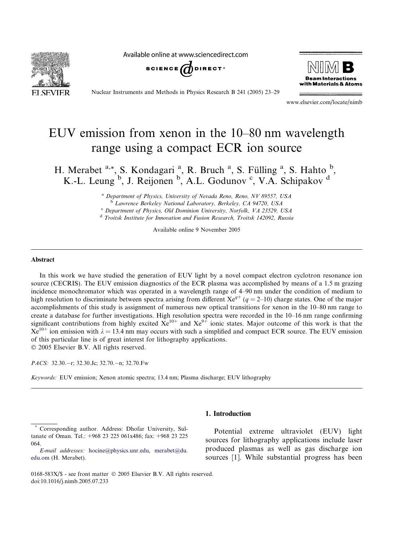SEVIE

Available online at www.sciencedirect.com





Nuclear Instruments and Methods in Physics Research B 241 (2005) 23–29

www.elsevier.com/locate/nimb

# EUV emission from xenon in the 10–80 nm wavelength range using a compact ECR ion source

H. Merabet <sup>a,\*</sup>, S. Kondagari<sup>a</sup>, R. Bruch<sup>a</sup>, S. Fülling<sup>a</sup>, S. Hahto<sup>b</sup>, K.-L. Leung <sup>b</sup>, J. Reijonen <sup>b</sup>, A.L. Godunov <sup>c</sup>, V.A. Schipakov <sup>d</sup>

> <sup>a</sup> Department of Physics, University of Nevada Reno, Reno, NV 89557, USA b Lawrence Berkeley National Laboratory, Berkeley, CA 94720, USA

> <sup>c</sup> Department of Physics, Old Dominion University, Norfolk, VA 23529, USA

<sup>d</sup> Troitsk Institute for Innovation and Fusion Research, Troitsk 142092, Russia

Available online 9 November 2005

#### Abstract

In this work we have studied the generation of EUV light by a novel compact electron cyclotron resonance ion source (CECRIS). The EUV emission diagnostics of the ECR plasma was accomplished by means of a 1.5 m grazing incidence monochromator which was operated in a wavelength range of 4–90 nm under the condition of medium to high resolution to discriminate between spectra arising from different  $Xe^{q+}$  ( $q = 2-10$ ) charge states. One of the major accomplishments of this study is assignment of numerous new optical transitions for xenon in the 10–80 nm range to create a database for further investigations. High resolution spectra were recorded in the 10–16 nm range confirming significant contributions from highly excited  $Xe^{10+}$  and  $Xe^{9+}$  ionic states. Major outcome of this work is that the  $Xe^{10+}$  ion emission with  $\lambda = 13.4$  nm may occurs with such a simplified and compact ECR source. The EUV emission of this particular line is of great interest for lithography applications. 2005 Elsevier B.V. All rights reserved.

PACS: 32.30.-r; 32.30.Jc; 32.70.-n; 32.70.Fw

Keywords: EUV emission; Xenon atomic spectra; 13.4 nm; Plasma discharge; EUV lithography

#### 1. Introduction

Potential extreme ultraviolet (EUV) light sources for lithography applications include laser produced plasmas as well as gas discharge ion sources [\[1\]](#page-6-0). While substantial progress has been

Corresponding author. Address: Dhofar University, Sultanate of Oman. Tel:  $+968$  23 225 061x486; fax:  $+968$  23 225 064.

E-mail addresses: [hocine@physics.unr.edu](mailto:hocine@physics.unr.edu), [merabet@du.](mailto:merabet@du. edu.om) [edu.om](mailto:merabet@du. edu.om) (H. Merabet).

<sup>0168-583</sup>X/\$ - see front matter  $\odot$  2005 Elsevier B.V. All rights reserved. doi:10.1016/j.nimb.2005.07.233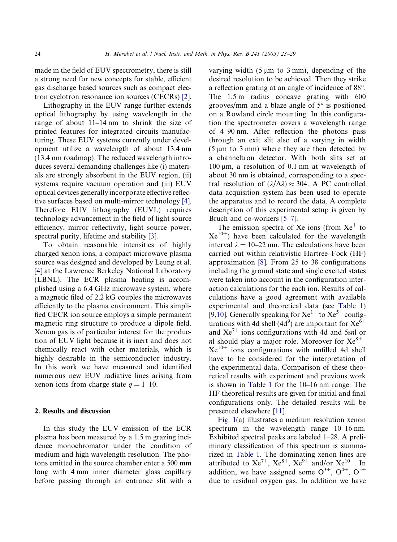made in the field of EUV spectrometry, there is still a strong need for new concepts for stable, efficient gas discharge based sources such as compact electron cyclotron resonance ion sources (CECRs) [\[2\].](#page-6-0)

Lithography in the EUV range further extends optical lithography by using wavelength in the range of about 11–14 nm to shrink the size of printed features for integrated circuits manufacturing. These EUV systems currently under development utilize a wavelength of about 13.4 nm (13.4 nm roadmap). The reduced wavelength introduces several demanding challenges like (i) materials are strongly absorbent in the EUV region, (ii) systems require vacuum operation and (iii) EUV optical devices generally incorporate effective reflective surfaces based on multi-mirror technology [\[4\].](#page-6-0) Therefore EUV lithography (EUVL) requires technology advancement in the field of light source efficiency, mirror reflectivity, light source power, spectral purity, lifetime and stability [\[3\]](#page-6-0).

To obtain reasonable intensities of highly charged xenon ions, a compact microwave plasma source was designed and developed by Leung et al. [\[4\]](#page-6-0) at the Lawrence Berkeley National Laboratory (LBNL). The ECR plasma heating is accomplished using a 6.4 GHz microwave system, where a magnetic filed of 2.2 kG couples the microwaves efficiently to the plasma environment. This simplified CECR ion source employs a simple permanent magnetic ring structure to produce a dipole field. Xenon gas is of particular interest for the production of EUV light because it is inert and does not chemically react with other materials, which is highly desirable in the semiconductor industry. In this work we have measured and identified numerous new EUV radiative lines arising from xenon ions from charge state  $q = 1-10$ .

### 2. Results and discussion

In this study the EUV emission of the ECR plasma has been measured by a 1.5 m grazing incidence monochromator under the condition of medium and high wavelength resolution. The photons emitted in the source chamber enter a 500 mm long with 4 mm inner diameter glass capillary before passing through an entrance slit with a

varying width  $(5 \mu m)$  to 3 mm), depending of the desired resolution to be achieved. Then they strike a reflection grating at an angle of incidence of 88°. The 1.5 m radius concave grating with 600 grooves/mm and a blaze angle of  $5^{\circ}$  is positioned on a Rowland circle mounting. In this configuration the spectrometer covers a wavelength range of 4–90 nm. After reflection the photons pass through an exit slit also of a varying in width  $(5 \mu m)$  to 3 mm) where they are then detected by a channeltron detector. With both slits set at  $100 \mu m$ , a resolution of 0.1 nm at wavelength of about 30 nm is obtained, corresponding to a spectral resolution of  $(\lambda/\Delta\lambda) \approx 304$ . A PC controlled data acquisition system has been used to operate the apparatus and to record the data. A complete description of this experimental setup is given by Bruch and co-workers [\[5–7\]](#page-6-0).

The emission spectra of Xe ions (from  $Xe^+$  to  $Xe^{10+}$ ) have been calculated for the wavelength interval  $\lambda = 10-22$  nm. The calculations have been carried out within relativistic Hartree–Fock (HF) approximation [\[8\]](#page-6-0). From 25 to 38 configurations including the ground state and single excited states were taken into account in the configuration interaction calculations for the each ion. Results of calculations have a good agreement with available experimental and theoretical data (see [Table 1](#page-2-0)) [\[9,10\].](#page-6-0) Generally speaking for  $Xe^{1+}$  to  $Xe^{5+}$  configurations with 4d shell (4d<sup>9</sup>) are important for  $\mathrm{Xe}^{6+}$ and  $Xe^{7+}$  ions configurations with 4d and 5snl or nl should play a major role. Moreover for  $Xe^{8+}$ –  $Xe^{10+}$  ions configurations with unfilled 4d shell have to be considered for the interpretation of the experimental data. Comparison of these theoretical results with experiment and previous work is shown in [Table 1](#page-2-0) for the 10–16 nm range. The HF theoretical results are given for initial and final configurations only. The detailed results will be presented elsewhere [\[11\].](#page-6-0)

[Fig. 1\(](#page-5-0)a) illustrates a medium resolution xenon spectrum in the wavelength range 10–16 nm. Exhibited spectral peaks are labeled 1–28. A preliminary classification of this spectrum is summarized in [Table 1](#page-2-0). The dominating xenon lines are attributed to  $Xe^{7+}$ ,  $Xe^{8+}$ ,  $Xe^{9+}$  and/or  $Xe^{10+}$ . In addition, we have assigned some  $O^{3+}$ ,  $O^{4+}$ ,  $O^{5+}$ due to residual oxygen gas. In addition we have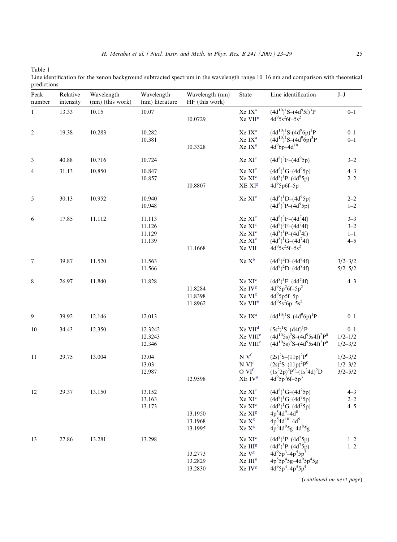<span id="page-2-0"></span>Table 1

Line identification for the xenon background subtracted spectrum in the wavelength range 10–16 nm and comparison with theoretical predictions

| Peak<br>number | Relative<br>intensity | Wavelength<br>(nm) (this work) | Wavelength<br>(nm) literature        | Wavelength (nm)<br>HF (this work) | State                                                                                                                                                      | Line identification                                                                                                                                                              | $\mathbf{J}\!-\!\mathbf{J}$               |
|----------------|-----------------------|--------------------------------|--------------------------------------|-----------------------------------|------------------------------------------------------------------------------------------------------------------------------------------------------------|----------------------------------------------------------------------------------------------------------------------------------------------------------------------------------|-------------------------------------------|
| $\mathbf{1}$   | 13.33                 | 10.15                          | 10.07                                | 10.0729                           | Xe IX <sup>a</sup><br>Xe VII <sup>g</sup>                                                                                                                  | $(4d^{10})^1S-(4d^95f)^3P$<br>$4d^{9}5s^{2}6f-5s^{2}$                                                                                                                            | $0 - 1$                                   |
| 2              | 19.38                 | 10.283                         | 10.282<br>10.381                     | 10.3328                           | Xe IX <sup>a</sup><br>Xe IX <sup>a</sup><br>Xe IX <sup>g</sup>                                                                                             | $(4d^{10})^1S-(4d^96p)^1P$<br>$(4d^{10})^1S-(4d^96p)^3P$<br>$4d^{9}6p-4d^{10}$                                                                                                   | $0 - 1$<br>$0 - 1$                        |
| 3              | 40.88                 | 10.716                         | 10.724                               |                                   | $\mathrm{Xe}\ \mathrm{XI}^\mathrm{c}$                                                                                                                      | $(4d^8)^3F-(4d^95p)$                                                                                                                                                             | $3 - 2$                                   |
| 4              | 31.13                 | 10.850                         | 10.847<br>10.857                     | 10.8807                           | Xe XI <sup>c</sup><br>$\rm Xe~XI^c$<br>$XE$ $XIg$                                                                                                          | $(4d^8)^1G-(4d^95p)$<br>$(4d^{8})^{3}P-(4d^{9}5p)$<br>$4d^95p6f-5p$                                                                                                              | $4 - 3$<br>$2 - 2$                        |
| 5              | 30.13                 | 10.952                         | 10.940<br>10.948                     |                                   | Xe XI <sup>c</sup>                                                                                                                                         | $(4d^{8})^{1}D-(4d^{9}5p)$<br>$(4d^{8})^{3}P-(4d^{9}5p)$                                                                                                                         | $2 - 2$<br>$1 - 2$                        |
| 6              | 17.85                 | 11.112                         | 11.113<br>11.126<br>11.129<br>11.139 | 11.1668                           | Xe XI <sup>c</sup><br>Xe XI <sup>c</sup><br>Xe XI <sup>c</sup><br>Xe XI <sup>c</sup><br>Xe VII                                                             | $(4d^{8})^{3}F-(4d^{7}4f)$<br>$(4d^8)^3F-(4d^74f)$<br>$(4d^8)^3P-(4d^74f)$<br>$(4d^8)^1G-(4d^74f)$<br>$4d^95s^25f-5s^2$                                                          | $3 - 3$<br>$3 - 2$<br>$1 - 1$<br>$4 - 5$  |
| 7              | 39.87                 | 11.520                         | 11.563<br>11.566                     |                                   | Xe X <sup>b</sup>                                                                                                                                          | $(4d^{9})^{2}D-(4d^{8}4f)$<br>$(4d^{9})^{2}D-(4d^{8}4f)$                                                                                                                         | $3/2 - 3/2$<br>$5/2 - 5/2$                |
| 8              | 26.97                 | 11.840                         | 11.828                               | 11.8284<br>11.8398<br>11.8962     | Xe XI <sup>c</sup><br>Xe IV <sup>g</sup><br>Xe VI <sup>g</sup><br>Xe VII <sup>g</sup>                                                                      | $(4d^8)^3F-(4d^74f)$<br>$4d^{9}5p^{2}6f-5p^{2}$<br>$4d^95p5f-5p$<br>$4d^{9}5s^{2}6p-5s^{2}$                                                                                      | $4 - 3$                                   |
| 9              | 39.92                 | 12.146                         | 12.013                               |                                   | Xe IX <sup>a</sup>                                                                                                                                         | $(4d^{10})^1S-(4d^96p)^1P$                                                                                                                                                       | $0 - 1$                                   |
| 10             | 34.43                 | 12.350                         | 12.3242<br>12.3243<br>12.346         |                                   | Xe VII <sup>d</sup><br>Xe VIII <sup>e</sup><br>Xe VIII <sup>e</sup>                                                                                        | $(5s^2)^1S-(d4f)^1P$<br>$(4d^{10}5s)^2S-(4d^95s4f)^2P^0$<br>$(4d^{10}5s)^2S-(4d^95s4f)^2P^0$                                                                                     | $0 - 1$<br>$1/2 - 1/2$<br>$1/2 - 3/2$     |
| 11             | 29.75                 | 13.004                         | 13.04<br>13.03<br>12.987             | 12.9598                           | $N V^f$<br>N VI <sup>f</sup><br>O VI <sup>f</sup><br>XE IV <sup>g</sup>                                                                                    | $(2s)^{2}S-(11p)^{2}P^{0}$<br>$(2s)^{2}S-(11p)^{2}P^{0}$<br>$(1s^22p)^2P^0-(1s^24d)^2D$<br>$4d^{9}5p^{3}6f-5p^{3}$                                                               | $1/2 - 3/2$<br>$1/2 - 3/2$<br>$3/2 - 5/2$ |
| 12             | 29.37                 | 13.150                         | 13.152<br>13.163<br>13.173           | 13.1950<br>13.1968<br>13.1995     | Xe XI <sup>c</sup><br>Xe XI <sup>c</sup><br>Xe XI <sup>c</sup><br>$\mathrm{Xe}\ \mathrm{XI}^\mathrm{g}$<br>Xe X <sup>g</sup><br>Xe $\mathbf{X}^{\text{g}}$ | $(4d^8)^1G-(4d^75p)$<br>$(4d^8)^1G-(4d^75p)$<br>$(4d^8)^1G-(4d^75p)$<br>$4p^54d^9 - 4d^8$<br>$4p^54d^{10}-4d^9$<br>$4p^54d^95g-4d^85g$                                           | $4 - 3$<br>$2 - 2$<br>$4 - 5$             |
| 13             | 27.86                 | 13.281                         | 13.298                               | 13.2773<br>13.2829<br>13.2830     | Xe XI <sup>c</sup><br>Xe III <sup>g</sup><br>Xe Vg<br>Xe III <sup>g</sup><br>Xe IV <sup>g</sup>                                                            | $(4d^{8})^{3}P-(4d^{7}5p)$<br>$(4d^8)^3P-(4d^75p)$<br>4d <sup>9</sup> 5p <sup>3</sup> -4p <sup>5</sup> 5p <sup>3</sup><br>$4p^55p^45g-4d^95p^45g$<br>$4d^{9}5p^{4}-4p^{5}5p^{4}$ | $1 - 2$<br>$1 - 2$                        |

(continued on next page)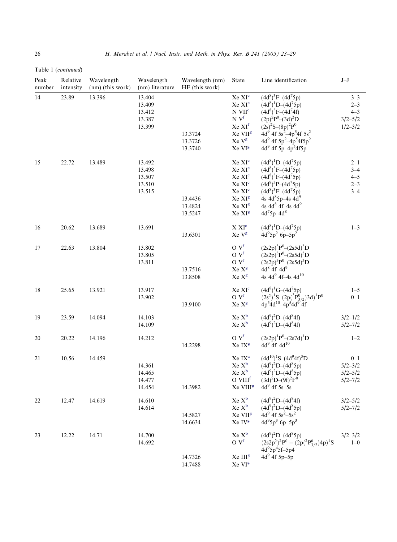Table 1 (continued)

| Peak<br>number | Relative<br>intensity | Wavelength<br>(nm) (this work) | Wavelength<br>(nm) literature                  | Wavelength (nm)<br>HF (this work)        | State                                                                                                                                                                                              | Line identification                                                                                                                                                                                                                                        | $J-J$                                                       |
|----------------|-----------------------|--------------------------------|------------------------------------------------|------------------------------------------|----------------------------------------------------------------------------------------------------------------------------------------------------------------------------------------------------|------------------------------------------------------------------------------------------------------------------------------------------------------------------------------------------------------------------------------------------------------------|-------------------------------------------------------------|
| 14             | 23.89                 | 13.396                         | 13.404<br>13.409<br>13.412<br>13.387<br>13.399 | 13.3724<br>13.3726                       | Xe XI <sup>c</sup><br>Xe XI <sup>c</sup><br>N VII <sup>c</sup><br>$N V^f$<br>Xe XI <sup>f</sup><br>Xe VII <sup>g</sup><br>Xe Vg                                                                    | $(4d^8)^3F-(4d^75p)$<br>$(4d^8)^1D-(4d^75p)$<br>$(4d^{8})^{3}F-(4d^{7}4f)$<br>$(2p)^{2}P^{0}-(3d)^{2}D$<br>$(2s)^{2}S-(8p)^{2}P^{0}$<br>4d <sup>9</sup> 4f 5s <sup>2</sup> -4p <sup>5</sup> 4f 5s <sup>2</sup><br>4d <sup>9</sup> 4f $5p^2-4p^54f5p^2$     | $3 - 3$<br>$2 - 3$<br>$4 - 3$<br>$3/2 - 5/2$<br>$1/2 - 3/2$ |
| 15             | 22.72                 | 13.489                         | 13.492<br>13.498<br>13.507<br>13.510<br>13.515 | 13.3740<br>13.4436<br>13.4824<br>13.5247 | Xe VI <sup>g</sup><br>Xe XI <sup>c</sup><br>Xe XI <sup>c</sup><br>Xe XI <sup>c</sup><br>Xe XI <sup>c</sup><br>Xe XI <sup>c</sup><br>Xe XI <sup>g</sup><br>Xe XI <sup>g</sup><br>Xe XI <sup>g</sup> | 4d <sup>9</sup> 4f 5p-4p <sup>5</sup> 4f5p<br>$(4d^8)^1D-(4d^75p)$<br>$(4d^8)^3F-(4d^75p)$<br>$(4d^8)^3F-(4d^75p)$<br>$(4d^8)^3P-(4d^75p)$<br>$(4d^8)^3F-(4d^75p)$<br>4s $4d^85p-4s$ $4d^9$<br>4s 4d <sup>8</sup> 4f-4s 4d <sup>9</sup><br>$4d^75p - 4d^8$ | $2 - 1$<br>$3 - 4$<br>$4 - 5$<br>$2 - 3$<br>$3 - 4$         |
| 16             | 20.62                 | 13.689                         | 13.691                                         | 13.6301                                  | $\mathbf{X}$ $\mathbf{X}\mathbf{I}^{\text{c}}$<br>Xe Vg                                                                                                                                            | $(4d^8)^1D-(4d^75p)$<br>$4d^{9}5p^{2}$ 6p-5p <sup>2</sup>                                                                                                                                                                                                  | $1 - 3$                                                     |
| 17             | 22.63                 | 13.804                         | 13.802<br>13.805<br>13.811                     | 13.7516<br>13.8508                       | O V <sup>f</sup><br>O V <sup>f</sup><br>O V <sup>f</sup><br>Xe X <sup>g</sup><br>Xe X <sup>g</sup>                                                                                                 | $(2s2p)^3P^0-(2s5d)^3D$<br>$(2s2p)^3P^0-(2s5d)^3D$<br>$(2s2p)^3P^0-(2s5d)^3D$<br>$4d^8$ $4f-4d^9$<br>4s 4d <sup>9</sup> 4f-4s 4d <sup>10</sup>                                                                                                             |                                                             |
| 18             | 25.65                 | 13.921                         | 13.917<br>13.902                               | 13.9100                                  | Xe XI <sup>c</sup><br>$O V^f$<br>Xe Xg                                                                                                                                                             | $(4d^8)^1G-(4d^75p)$<br>$(2s^2)^1S-(2p(^3P^0_{3/2})3d)^1P^0$<br>$4p^54d^{10}-4p^54d^{9}$ 4f                                                                                                                                                                | $1 - 5$<br>$0 - 1$                                          |
| 19             | 23.59                 | 14.094                         | 14.103<br>14.109                               |                                          | Xe X <sup>b</sup><br>Xe X <sup>b</sup>                                                                                                                                                             | $(4d^{9})^{2}D-(4d^{8}4f)$<br>$(4d^{9})^{2}D-(4d^{8}4f)$                                                                                                                                                                                                   | $3/2 - 1/2$<br>$5/2 - 7/2$                                  |
| 20             | 20.22                 | 14.196                         | 14.212                                         | 14.2298                                  | O V <sup>f</sup><br>Xe IX <sup>g</sup>                                                                                                                                                             | $(2s2p)^1P^0-(2s7d)^1D$<br>$4d^{9}$ 4f-4d <sup>10</sup>                                                                                                                                                                                                    | $1 - 2$                                                     |
| 21             | 10.56                 | 14.459                         | 14.361<br>14.465<br>14.477<br>14.454           | 14.3982                                  | Xe IX <sup>a</sup><br>$Xe X^b$<br>Xe X <sup>b</sup><br>O VIII <sup>f</sup><br>Xe VIII <sup>g</sup>                                                                                                 | $(4d^{10})^1S-(4d^94f)^3D$<br>$(4d^{9})^{2}D-(4d^{8}5p)$<br>$(4d^{9})^{2}D-(4d^{8}5p)$<br>$(3d)^{2}D-(9f)^{2}F^{0}$<br>$4d^{9}$ 4f 5s-5s                                                                                                                   | $0 - 1$<br>$5/2 - 3/2$<br>$5/2 - 5/2$<br>$5/2 - 7/2$        |
| 22             | 12.47                 | 14.619                         | 14.610<br>14.614                               | 14.5827<br>14.6634                       | Xe X <sup>b</sup><br>Xe X <sup>b</sup><br>Xe VII <sup>g</sup><br>Xe IV <sup>g</sup>                                                                                                                | $(4d^{9})^{2}D-(4d^{8}4f)$<br>$(4d^{9})^{2}D-(4d^{8}5p)$<br>$4d^{9}$ 4f $5s^{2}-5s^{2}$<br>$4d^{9}5p^{3}$ 6p-5p <sup>3</sup>                                                                                                                               | $3/2 - 5/2$<br>$5/2 - 7/2$                                  |
| 23             | 12.22                 | 14.71                          | 14.700<br>14.692                               | 14.7326<br>14.7488                       | Xe X <sup>b</sup><br>$\rm O\ V^f$<br>Xe III <sup>g</sup><br>Xe VI <sup>g</sup>                                                                                                                     | $(4d^{9})^{2}D-(4d^{8}5p)$<br>$\begin{array}{l} (2s2p^2)^2\grave{P}^0 - (2p(^2P^0_{3/2})4p)^1S \\ 4d^95p^45f-5p4 \end{array}$<br>$4d^{9}$ 4f $5p-5p$                                                                                                       | $3/2 - 3/2$<br>$1 - 0$                                      |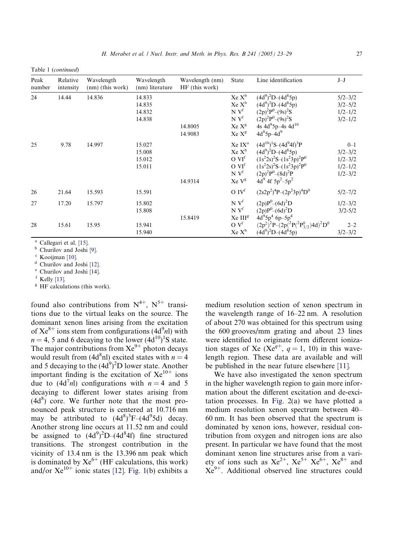<span id="page-4-0"></span>Table 1 (continued)

| Peak<br>number      | Relative<br>intensity | Wavelength<br>$(nm)$ (this work) | Wavelength<br>(nm) literature        | Wavelength (nm)<br>$HF$ (this work) | <b>State</b>                                                                                                      | Line identification                                                                                                                                                                   | $J-J$                                                               |
|---------------------|-----------------------|----------------------------------|--------------------------------------|-------------------------------------|-------------------------------------------------------------------------------------------------------------------|---------------------------------------------------------------------------------------------------------------------------------------------------------------------------------------|---------------------------------------------------------------------|
| 24                  | 14.44                 | 14.836                           | 14.833<br>14.835<br>14.832<br>14.838 | 14.8005<br>14.9083                  | Xe X <sup>b</sup><br>$Xe X^b$<br>N V <sup>f</sup><br>N V <sup>f</sup><br>Xe X <sup>g</sup><br>Xe X <sup>g</sup>   | $(4d^{9})^{2}D-(4d^{8}5p)$<br>$(4d^{9})^{2}D-(4d^{8}5p)$<br>$(2p)^{2}P^{0}-(9s)^{2}S$<br>$(2p)^{2}P^{0}-(9s)^{2}S$<br>4s 4d <sup>9</sup> 5p-4s 4d <sup>10</sup><br>$4d^85p-4d^9$      | $5/2 - 3/2$<br>$3/2 - 5/2$<br>$1/2 - 1/2$<br>$3/2 - 1/2$            |
| 25                  | 9.78                  | 14.997                           | 15.027<br>15.008<br>15.012<br>15.011 | 14.9314                             | Xe IX <sup>a</sup><br>$Xe X^b$<br>O VI <sup>f</sup><br>O VI <sup>f</sup><br>N V <sup>f</sup><br>Xe V <sup>g</sup> | $(4d^{10})^1S-(4d^94f)^3P$<br>$(4d^{9})^{2}D-(4d^{8}5p)$<br>$(1s^22s)^2S-(1s^23p)^2P^0$<br>$(1s^22s)^2S-(1s^23p)^2P^0$<br>$(2p)^{2}P^{0}-(8d)^{2}P$<br>4d <sup>9</sup> 4f $5p^2-5p^2$ | $0 - 1$<br>$3/2 - 3/2$<br>$1/2 - 3/2$<br>$1/2 - 1/2$<br>$1/2 - 3/2$ |
| 26                  | 21.64                 | 15.593                           | 15.591                               |                                     | O IV <sup>f</sup>                                                                                                 | $(2s2p^2)^4P-(2p^23p)^4D^0$                                                                                                                                                           | $5/2 - 7/2$                                                         |
| 27                  | 17.20                 | 15.797                           | 15.802<br>15.808                     | 15.8419                             | $N V^f$<br>N V <sup>f</sup><br>Xe III <sup>g</sup>                                                                | $(2p)P^{0}-(6d)^{2}D$<br>$(2p)P^{0}-(6d)^{2}D$<br>$4d^{9}5p^{4}6p-5p^{4}$                                                                                                             | $1/2 - 3/2$<br>$3/2 - 5/2$                                          |
| 28<br>$3 \times 11$ | 15.61                 | 15.95                            | 15.941<br>15.940                     |                                     | O V <sup>f</sup><br>Xe X <sup>b</sup>                                                                             | $(2p^2)^2P-(2p(^2P(^2P^0_{3/2})4d)^2D^0$<br>$(4d^{9})^{2}D-(4d^{8}5p)$                                                                                                                | $2 - 2$<br>$3/2 - 3/2$                                              |

<sup>a</sup> Callegari et al. [\[15\].](#page-6-0)<br><sup>b</sup> Churilov and Joshi [\[9\]](#page-6-0).

<sup>c</sup> Kooijman [\[10\].](#page-6-0)

<sup>d</sup> Churilov and Joshi [\[12\]](#page-6-0).

 $\degree$  Churilov and Joshi [\[14\]](#page-6-0).<br> $\degree$  Kelly [13].

 $E$  HF calculations (this work).

found also contributions from  $N^{4+}$ ,  $N^{5+}$  transitions due to the virtual leaks on the source. The dominant xenon lines arising from the excitation of  $Xe^{8+}$  ions stem from configurations (4d<sup>9</sup>nl) with  $n = 4$ , 5 and 6 decaying to the lower  $(4d^{10})^1S$  state. The major contributions from  $Xe^{9+}$  photon decays would result from (4d<sup>8</sup>nl) excited states with  $n = 4$ and 5 decaying to the  $(4d^9)^2D$  lower state. Another important finding is the excitation of  $Xe^{10+}$  ions due to  $(4d^7n)$  configurations with  $n = 4$  and 5 decaying to different lower states arising from  $(4d<sup>8</sup>)$  core. We further note that the most pronounced peak structure is centered at 10.716 nm may be attributed to  $(4d^8)^3F-(4d^95d)$  decay. Another strong line occurs at 11.52 nm and could be assigned to  $(4d^9)^2D-(4d^84f)$  fine structured transitions. The strongest contribution in the vicinity of 13.4 nm is the 13.396 nm peak which is dominated by  $Xe^{6+}$  (HF calculations, this work) and/or  $Xe^{10+}$  ionic states [\[12\].](#page-6-0) [Fig. 1](#page-5-0)(b) exhibits a

medium resolution section of xenon spectrum in the wavelength range of 16–22 nm. A resolution of about 270 was obtained for this spectrum using the 600 grooves/mm grating and about 23 lines were identified to originate form different ionization stages of Xe (Xe<sup>q+</sup>,  $q = 1$ , 10) in this wavelength region. These data are available and will be published in the near future elsewhere [\[11\].](#page-6-0)

We have also investigated the xenon spectrum in the higher wavelength region to gain more information about the different excitation and de-excitation processes. In [Fig. 2\(](#page-5-0)a) we have plotted a medium resolution xenon spectrum between 40– 60 nm. It has been observed that the spectrum is dominated by xenon ions, however, residual contribution from oxygen and nitrogen ions are also present. In particular we have found that the most dominant xenon line structures arise from a variety of ions such as  $Xe^{2+}$ ,  $Xe^{5+}Xe^{6+}$ ,  $Xe^{8+}$  and  $Xe^{9+}$ . Additional observed line structures could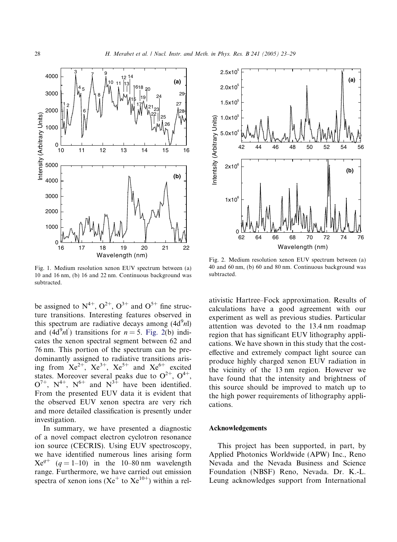<span id="page-5-0"></span>

Fig. 1. Medium resolution xenon EUV spectrum between (a) 10 and 16 nm, (b) 16 and 22 nm. Continuous background was subtracted.

be assigned to  $N^{4+}$ ,  $O^{2+}$ ,  $O^{3+}$  and  $O^{5+}$  fine structure transitions. Interesting features observed in this spectrum are radiative decays among  $(4d^9n)$ and  $(4d^9n)^{\prime}$  transitions for  $n = 5$ . Fig. 2(b) indicates the xenon spectral segment between 62 and 76 nm. This portion of the spectrum can be predominantly assigned to radiative transitions arising from  $Xe^{2+}$ ,  $Xe^{3+}$ ,  $Xe^{5+}$  and  $Xe^{6+}$  excited states. Moreover several peaks due to  $O^{2+}$ ,  $O^{4+}$ ,  $O^{7+}$ ,  $N^{4+}$ ,  $N^{6+}$  and  $N^{3+}$  have been identified. From the presented EUV data it is evident that the observed EUV xenon spectra are very rich and more detailed classification is presently under investigation.

In summary, we have presented a diagnostic of a novel compact electron cyclotron resonance ion source (CECRIS). Using EUV spectroscopy, we have identified numerous lines arising form  $Xe^{q^+}$  (q = 1–10) in the 10–80 nm wavelength range. Furthermore, we have carried out emission spectra of xenon ions ( $Xe^{+}$  to  $Xe^{10+}$ ) within a rel-



Fig. 2. Medium resolution xenon EUV spectrum between (a) 40 and 60 nm, (b) 60 and 80 nm. Continuous background was subtracted.

ativistic Hartree–Fock approximation. Results of calculations have a good agreement with our experiment as well as previous studies. Particular attention was devoted to the 13.4 nm roadmap region that has significant EUV lithography applications. We have shown in this study that the costeffective and extremely compact light source can produce highly charged xenon EUV radiation in the vicinity of the 13 nm region. However we have found that the intensity and brightness of this source should be improved to match up to the high power requirements of lithography applications.

## Acknowledgements

This project has been supported, in part, by Applied Photonics Worldwide (APW) Inc., Reno Nevada and the Nevada Business and Science Foundation (NBSF) Reno, Nevada. Dr. K.-L. Leung acknowledges support from International